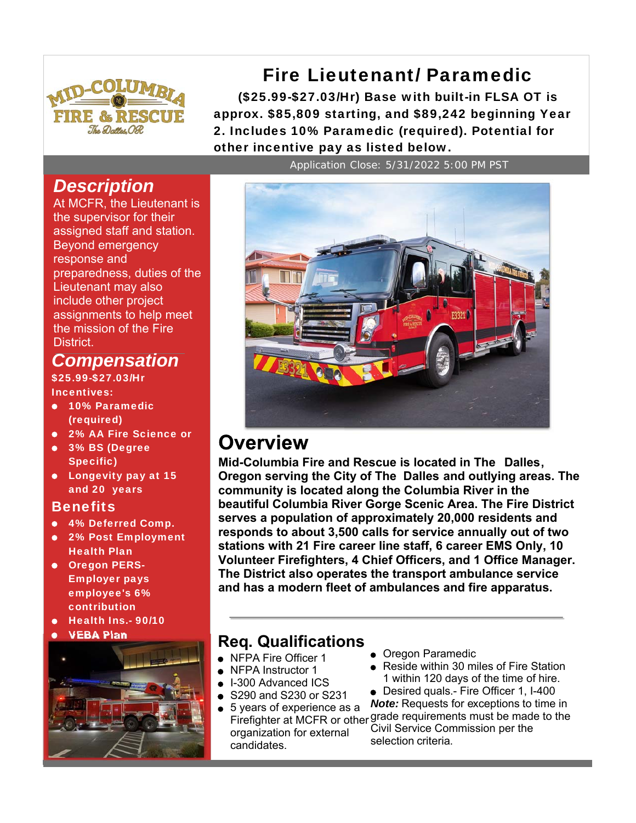

Fire Lieutenant/ Paramedic

(\$25.99-\$27.03/Hr) Base with built-in FLSA OT is approx. \$85,809 starting, and \$89,242 beginning Year 2. Includes 10% Paramedic (required). Potential for other incentive pay as listed below.

# *Description*

At MCFR, the Lieutenant is the supervisor for their assigned staff and station. Beyond emergency response and preparedness, duties of the Lieutenant may also include other project assignments to help meet the mission of the Fire District.

## *Compensation*

\$25.99-\$27.03/Hr Incentives:

- 10% Paramedic (required)
- 2% AA Fire Science or
- 3% BS (Degree Specific)
- **•** Longevity pay at 15 and 20 years

#### **Benefits**

- 4% Deferred Comp.
- 2% Post Employment Health Plan
- **Oregon PERS-**Employer pays employee's 6% contribution
- Health Ins.- 90/10
- 



Application Close: 5/31/2022 5:00 PM PST



# **Overview**

**Mid-Columbia Fire and Rescue is located in The Dalles, Oregon serving the City of The Dalles and outlying areas. The community is located along the Columbia River in the beautiful Columbia River Gorge Scenic Area. The Fire District serves a population of approximately 20,000 residents and responds to about 3,500 calls for service annually out of two stations with 21 Fire career line staff, 6 career EMS Only, 10 Volunteer Firefighters, 4 Chief Officers, and 1 Office Manager. The District also operates the transport ambulance service and has a modern fleet of ambulances and fire apparatus.**

# VEBA Plan **Req. Qualifications**

- **NFPA Fire Officer 1**
- NFPA Instructor 1
- I-300 Advanced ICS
- S290 and S230 or S231
- 5 years of experience as a organization for external candidates.
- **Oregon Paramedic**
- Reside within 30 miles of Fire Station 1 within 120 days of the time of hire.
- Desired quals.- Fire Officer 1, I-400

Firefighter at MCFR or other grade requirements must be made to the *Note:* Requests for exceptions to time in Civil Service Commission per the selection criteria.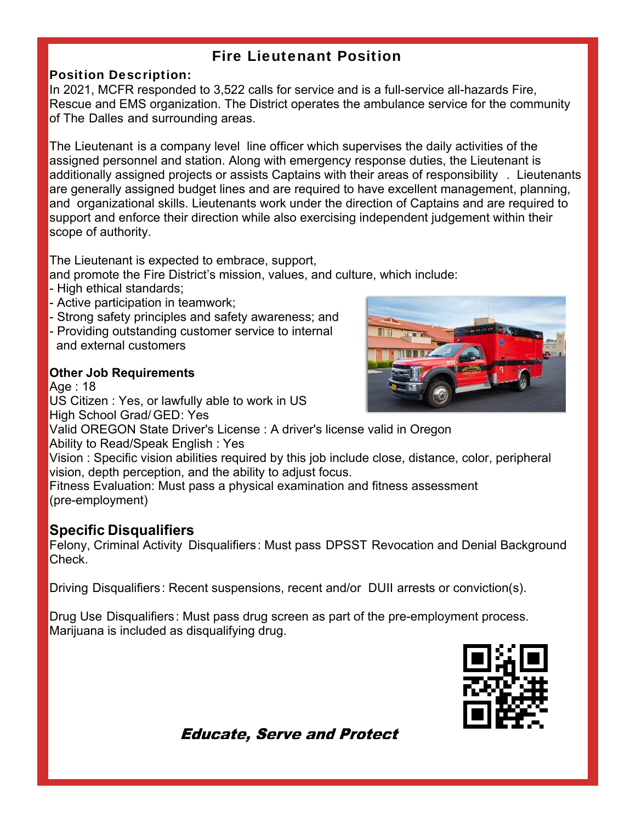### Fire Lieutenant Position

### Position Description:

In 2021, MCFR responded to 3,522 calls for service and is a full-service all-hazards Fire, Rescue and EMS organization. The District operates the ambulance service for the community of The Dalles and surrounding areas.

The Lieutenant is a company level line officer which supervises the daily activities of the assigned personnel and station. Along with emergency response duties, the Lieutenant is additionally assigned projects or assists Captains with their areas of responsibility . Lieutenants are generally assigned budget lines and are required to have excellent management, planning, and organizational skills. Lieutenants work under the direction of Captains and are required to support and enforce their direction while also exercising independent judgement within their scope of authority.

The Lieutenant is expected to embrace, support,

and promote the Fire District's mission, values, and culture, which include:

- High ethical standards;
- Active participation in teamwork;
- Strong safety principles and safety awareness; and
- Providing outstanding customer service to internal and external customers

### **Other Job Requirements**

Age : 18 US Citizen : Yes, or lawfully able to work in US High School Grad/ GED: Yes



Valid OREGON State Driver's License : A driver's license valid in Oregon

Ability to Read/Speak English : Yes

Vision : Specific vision abilities required by this job include close, distance, color, peripheral vision, depth perception, and the ability to adjust focus.

Fitness Evaluation: Must pass a physical examination and fitness assessment (pre-employment)

### **Specific Disqualifiers**

Felony, Criminal Activity Disqualifiers: Must pass DPSST Revocation and Denial Background Check.

Driving Disqualifiers: Recent suspensions, recent and/or DUII arrests or conviction(s).

Drug Use Disqualifiers: Must pass drug screen as part of the pre-employment process. Marijuana is included as disqualifying drug.



**Educate, Serve and Protect**